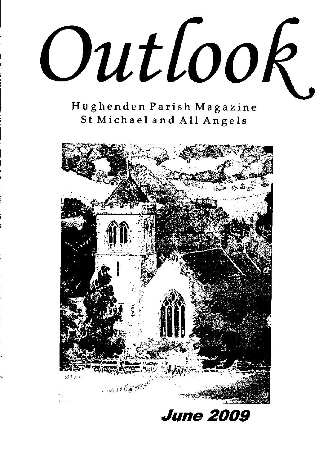Outlook.

Hughenden Parish Magazine St Michael and All Angels



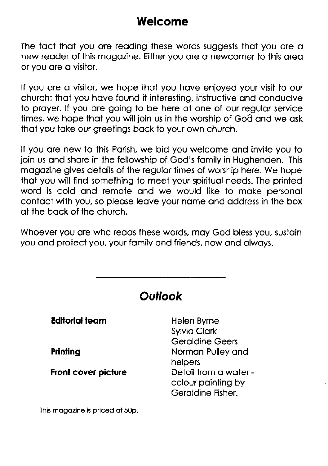## Welcome

The fact that you are reading these words suggests that you are a new reader of this magazine. Either you are a newcomer to this area or you ore o visitor.

If you are a visitor, we hope that you have enjoyed your visit to our church; thot you hove found it interesting, instructive ond conducive to proyer. lf you ore going io be here of one of our regulor service times, we hope that you will join us in the worship of God and we ask thot you toke our greetings bock to your own church.

lf you ore new to this Porish, we bid you welcome ond invite you to join us and share in the fellowship of God's family in Hughenden. This magazine gives details of the regular times of worship here. We hope that you will find something to meet your spiritual needs. The printed word is cold and remote and we would like to make personal contact with you, so please leave your name and address in the box of the bock of the church.

Whoever you are who reads these words, may God bless you, sustain you ond protect you, your fomily ond friends, now ond olwoys.

| Outlook                         |                                                                  |  |  |
|---------------------------------|------------------------------------------------------------------|--|--|
| Editorial team                  | Helen Byrne<br><b>Sylvia Clark</b><br><b>Geraldine Geers</b>     |  |  |
| Printing                        | Norman Pulley and<br>helpers                                     |  |  |
| Front cover picture             | Detail from a water -<br>colour painting by<br>Geraldine Fisher. |  |  |
| This magazine is priced at 50p. |                                                                  |  |  |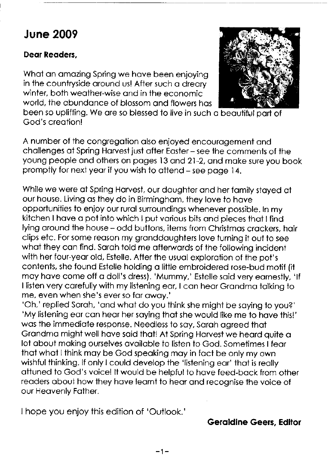## **June 2009**

#### Deor Reoders,

What an amazing Spring we have been enjoying in the countryside oround us! Afier such o dreory winter, both weother-wise ond in the economic world, the obundonce of blossom ond flowers hos



been so uplifting. We are so blessed to live in such a beautiful part of God's creotion!

A number of the congregotion olso enjoyed encourogement ond chollenges of Spring Horvest just ofier Eosier - see the comments of the young people ond others on poges l3 ond 21-2, ond moke sure you book promptly for next yeor if you wish to ottend - see poge 14.

While we were at Spring Harvest, our daughter and her family staved at our house. Living os ihey do in Birminghom, they love io hove opportunities to enjoy our rurol surroundings whenever possible. In my kitchen I have a pot into which I put various bits and pieces that I find lying around the house - odd buttons, items from Christmas crackers, hair clips etc. For some reoson my gronddoughters love turning it out to see what they can find. Sarah told me afterwards of the following incident with her four-year old, Estelle. After the usual exploration of the pot's contents, she found Estelle holding o little embroidered rose-bud motif (it moy hove come off o doll's dress). 'Mummy,' Estelle soid very eorneslly, 'lf I listen very carefully with my listening ear, I can hear Grandma talking to me, even when she's ever so far away.'

'Oh,' replied Sarah, 'and what do you think she might be saying to you?'<br>'My listening ear can hear her saying that she would like me to have this!' wos the immediote response. Needless to soy, Soroh ogreed thot Grandma might well have said that! At Spring Harvest we heard quite a lot obout moking ourselves ovoiloble lo listen to God. Someiimes lfeor thot whot I think moy be God speoking moy in foct be only my own wishful thinking. If only I could develop the 'listening ear' that is really ottuned to God's voicel lt would be helpful to hove feed-bock from oiher readers about how they have learnt to hear and recognise the voice of our Heovenly Fother.

I hope you enjoy this edition of 'Outlook.'

#### Geroldine Geers, Editor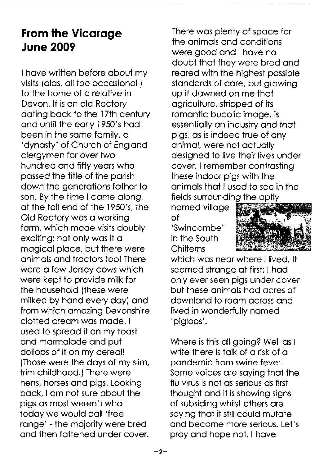# From the Vicarage June 2009

I hove written before obout my visits (alas, all too occasional) to the home of a relative in Devon. lt is on old Rectory dating back to the 17th century and until the early 1950's had been in the same family, a 'dynosty' of Church of Englond clergymen for over two hundred ond fifty yeors who possed the title of the porish down the generations father to son. By the time I came along, at the tail end of the 1950's, the Old Rectory was a working form, which mode visits doubly exciting: not only was it a mogicol ploce, but there were onimols ond froctors too! There were o few Jersey cows which were kept to provide milk for the household (these were milked by hond every doy) ond from which omozing Devonshire clotted creom wos mode. I used to spread it on my toast ond mormolode ond put dollops of it on my cereol! (Those were the doys of my slim, trim childhood.) There were hens, horses ond pigs. Looking bock, I om not sure obout the pigs os most weren't whot todoy we would coll 'free range' - the majority were bred and then fattened under cover.

There wos plenty of spoce for the onimols ond conditions were good and I have no doubt thot they were bred ond reored with the highest posslble stondords of core, but growing up it dawned on me that ogriculiure, stripped of its romoniic bucolic imoge, is essentially an industry and that pigs, os is indeed true of ony onimol, were not octuolly designed to live their lives under cover. I remember controsting these indoor pigs with the onimols thot I used to see in the fields sunounding the opiiy

nomed villoge of<br>'Swincombe'

in the South **Chilterns** 



which was near where Hived. It seemed strange at first: I had only ever seen pigs under cover but these onimols hod ocres of downlond to room ocross ond lived in wonderfully nomed 'pigloos'.

Where is this oll going? Well os I write there is talk of a risk of a pondemic from swine fever. Some voices ore soying thot the flu virus is not os serious os first thought ond it is showing signs of subsiding whilst others ore saying that it still could mutate ond become more serious. Let's proy ond hope not. I hove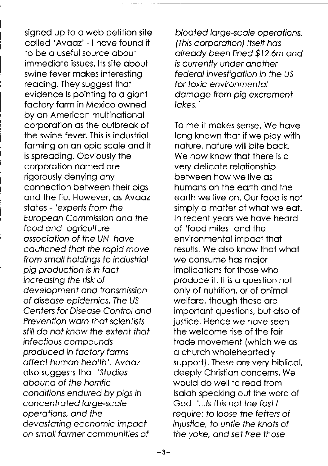signed up to a web petition site called 'Avaaz' - I have found it to be a useful source about immediate issues. Its site about swine fever makes interestina reading. They suggest that evidence is pointing to a giant factory farm in Mexico owned by an American multinational corporation as the outbreak of the swine fever. This is industrial farming on an epic scale and it is spreading. Obviously the corporation named are rigorously denying any connection between their pias and the flu. However, as Avaaz states - 'experts from the European Commission and the food and agriculture association of the UN have cautioned that the rapid move from small holdings to industrial pig production is in fact increasing the risk of development and transmission of disease epidemics. The US Centers for Disease Control and **Prevention warn that scientists** still do not know the extent that infectious compounds produced in factory farms affect human health'. Avaaz also suggests that 'Studies abound of the horrific conditions endured by pigs in concentrated large-scale operations, and the devastating economic impact on small farmer communities of

bloated large-scale operations. (This corporation) itself has already been fined \$12.6m and is currently under another federal investigation in the US for toxic environmental damage from pia excrement lakes."

To me it makes sense. We have long known that if we play with nature, nature will bite back. We now know that there is a very delicate relationship between how we live as humans on the earth and the earth we live on. Our food is not simply a matter of what we eat. In recent years we have heard of 'food miles' and the environmental impact that results. We also know that what we consume has major implications for those who produce it. It is a question not only of nutrition, or of animal welfare, though these are important questions, but also of justice. Hence we have seen the welcome rise of the fair trade movement (which we as a church wholeheartedly support). These are very biblical, deeply Christian concerns. We would do well to read from Isaiah speaking out the word of God '...Is this not the fast I require: to loose the fetters of injustice, to untie the knots of the yoke, and set free those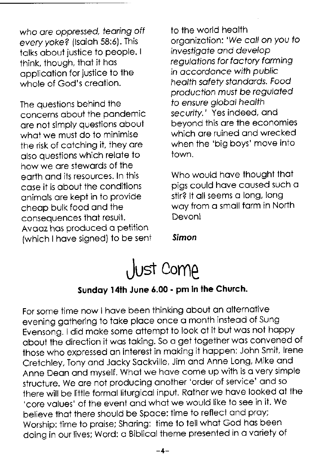who are oppressed, tearing off every yoke? (Isaiah 58:6). This talks about justice to people. I think, though, that it has application for justice to the whole of God's creation.

The questions behind the concerns about the pandemic are not simply questions about what we must do to minimise the risk of catching it, they are also questions which relate to how we are stewards of the earth and its resources. In this case it is about the conditions animals are kept in to provide cheap bulk food and the consequences that result. Avaaz has produced a petition (which I have signed) to be sent

to the world health organization: 'We call on you to investigate and develop requigitions for factory farming in accordance with public health safety standards. Food production must be requiated to ensure global health security.' Yes indeed, and bevond this are the economies which are ruined and wrecked when the 'big boys' move into town.

Who would have thought that pias could have caused such a stir? It all seems a long, long way from a small farm in North **Devon!** 

Simon



#### Sunday 14th June 6.00 - pm in the Church.

For some time now I have been thinking about an alternative evening gathering to take place once a month instead of Sung Evensong. I did make some attempt to look at it but was not happy about the direction it was taking. So a get together was convened of those who expressed an interest in making it happen: John Smit, Irene Cretchley, Tony and Jacky Sackville, Jim and Anne Long, Mike and Anne Dean and myself. What we have come up with is a very simple structure. We are not producing another 'order of service' and so there will be little formal liturgical input. Rather we have looked at the 'core values' of the event and what we would like to see in it. We believe that there should be Space: time to reflect and prav: Worship: time to praise; Sharing: time to tell what God has been doing in our lives; Word: a Biblical theme presented in a variety of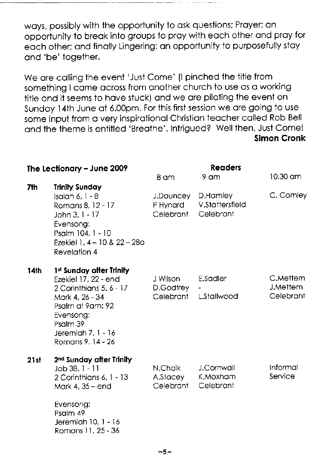woys, possibly with the opportunity to osk questions; Proyer: on opporiuniiy to breok into groups to proy with eoch other ond proy for eoch other; ond finolly Lingering: on opportunity to purposefully stoy and 'be' together.

We are calling the event 'Just Come' (I pinched the title from something I came across from another church to use as a working title ond it seems to hove stuck) ond we ore piloting the event on Sundoy l4th June of 6.00pm. For this first session we ore going to use some input from o very inspirotionol Christion teocher colled Rob Bell ond the theme is entitled 'Breothe'. Intrigued? Well then, Just Come! Slmon Cronk

|      | The Lectionary - June 2009                                                                                                                                                             | 8 am                                        | <b>Readers</b><br>9 am              | $10.30 \text{ cm}$                       |
|------|----------------------------------------------------------------------------------------------------------------------------------------------------------------------------------------|---------------------------------------------|-------------------------------------|------------------------------------------|
| 7th  | <b>Trinity Sunday</b><br>Isaiah 6, $1 - 8$<br>Romans 8, 12 - 17<br>John $3, 1 - 17$<br>Evensong:<br>Psalm 104, 1 - 10<br>Ezekiel 1, 4 – 10 & 22 – 28a<br>Revelation 4                  | J.Dauncey D.Hamley<br>P Hynard<br>Celebrant | <b>V.Stattersfield</b><br>Celebrant | C. Comley                                |
| 14th | 1st Sunday after Trinity<br>Ezekiel 17, 22 - end<br>2 Corinthians 5, 6 - 17<br>Mork 4, 26 - 34<br>Psalm at 9am: 92<br>Evensong:<br>Psalm 39<br>Jeremiah 7, 1 - 16<br>Romans 9, 14 - 26 | J Wilson<br>D.Godfrey<br>Celebrant          | <b>E.Sadler</b><br>L.Stallwood      | C.Mettem<br><b>J.Mettem</b><br>Celebrant |
| 21st | 2 <sup>nd</sup> Sunday after Trinity<br>Job 38, 1 - 11<br>2 Corinthians 6, 1 - 13<br>Mark 4, 35 – end<br>Evensong:<br>Psalm 49<br>Jeremiah 10, 1 - 16<br>Romans 11, 25 - 36            | N.Chalk<br>A.Stacey<br>Celebrant            | J.Cornwall<br>K.Moxham<br>Celebrant | Informal<br>Service                      |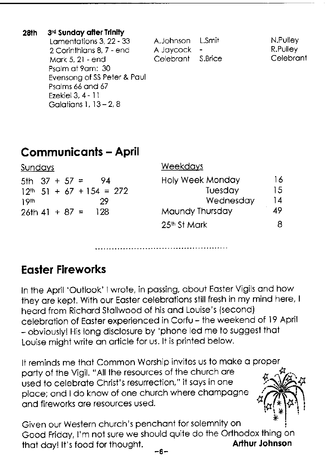| 28th | 3rd Sunday after Trinity    |                   |           |
|------|-----------------------------|-------------------|-----------|
|      | Lamentations 3, 22 - 33     | A.Johnson L.Smit  | N.Pulley  |
|      | 2 Corinthians 8, 7 - end    | A Jaycock -       | R.Pulley  |
|      | Mark 5, 21 - end            | Celebrant S.Brice | Celebrant |
|      | Psalm at 9am: 30            |                   |           |
|      | Evensong of SS Peter & Paul |                   |           |
|      | Psalms 66 and 67            |                   |           |
|      | Ezekiel 3, 4 - 11           |                   |           |
|      | Galatians 1, $13 - 2$ , 8   |                   |           |

# **Communicants - April**

| <u>Sundays</u>                | <b>Weekdays</b>          |    |
|-------------------------------|--------------------------|----|
| 5th $37 + 57 =$<br>-94        | <b>Holy Week Monday</b>  | 16 |
| $12^{th}$ 51 + 67 + 154 = 272 | Tuesday                  | 15 |
| 29<br>19th                    | Wednesday                | 14 |
| $26th 41 + 87 =$<br>- 128     | Maundy Thursday          | 49 |
|                               | 25 <sup>th</sup> St Mark | 8  |

# **Faster Fireworks**

In the April 'Outlook' I wrote, in passing, about Easter Vigils and how they are kept. With our Easter celebrations still fresh in my mind here, I heard from Richard Stallwood of his and Louise's (second) celebration of Easter experienced in Corfu - the weekend of 19 April - obviously! His long disclosure by 'phone led me to suggest that Louise might write an article for us. It is printed below.

It reminds me that Common Worship invites us to make a proper party of the Vigil. "All the resources of the church are used to celebrate Christ's resurrection." it savs in one place; and I do know of one church where champagne and fireworks are resources used.

Given our Western church's penchant for solemnity on Good Friday, I'm not sure we should quite do the Orthodox thing on **Arthur Johnson** that day! It's food for thought.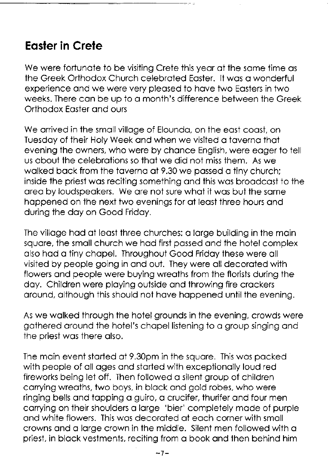# Eosler in Crele

We were fortunate to be visiting Crete this year at the same time as the Greek Orthodox Church celebrated Easter. It was a wonderful experience ond we were very pleosed to hove two Eosters in two weeks. There can be up to a month's difference between the Greek Orthodox Eoster ond ours

We arrived in the small village of Elounda, on the east coast, on Tuesdoy of their Holy Week ond when we visited o toverno thot evening the owners, who were by chonce English, were eoger to iell us obout the celebrotions so thot we did not miss them. As we walked back from the taverna at 9.30 we passed a tiny church; inside the priest was reciting something and this was broadcast to the area by loudspeakers. We are not sure what it was but the same happened on the next two evenings for at least three hours and during the doy on Good Fridoy.

The village had at least three churches: a large building in the main squore, the smoll church we hod first possed ond the hotel complex also had a tiny chapel. Throughout Good Friday these were all visited by people going in ond out. They were oll decoroted with flowers ond people were buying wreoths from the florists during the doy. Children were ploying outside ond throwing fire crockers around, although this should not have happened until the evening.

As we wolked through the hotel grounds in the evening, crowds were gothered oround the hotel's chopel listening to o group singing ond the priest wos there olso.

The moin event storted of 9.30pm in the squore. This wos pocked with people of oll oges ond storted with exceptionolly loud red fireworks being let off. Then followed o silent group of children corrying wreoths, two boys, in block ond gold robes, who were ringing bells ond topping o guiro, o crucifer, thurifer ond four men carrying on their shoulders a large 'bier' completely made of purple ond white flowers. This wos decoroted of eoch corner with smoll crowns and a large crown in the middle. Silent men followed with a priest, in block vestments, reciting from o book ond then behind him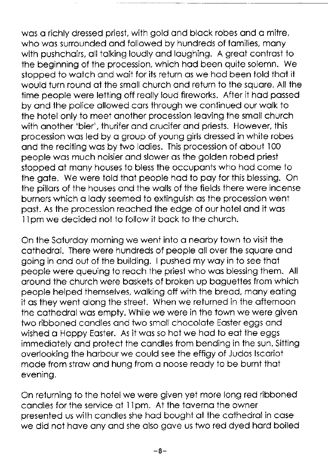was a richly dressed priest, with gold and black robes and a mitre, who was surrounded and followed by hundreds of families, many with pushchairs, all talking loudly and laughing. A great contrast to the beginning of the procession, which hod been quite solemn. We stopped to wotch ond woit for its return os we hod been iold thot ii would turn round of the smoll church ond return to the squore. All the time people were letting off reolly loud fireworks. After it hod possed by ond the police ollowed cors through we continued our wolk to the hotel only to meet onother procession leoving the smoll church with onother 'bier', thurifer ond crucifer ond priests. However, this procession wos led by o group of young girls dressed in white robes and the reciting was by two ladies. This procession of about 100 people wos much noisier ond slower os the golden robed priest stopped at many houses to bless the occupants who had come to the gate. We were told that people had to pay for this blessing. On the pillors of the houses ond the wolls of the fields there were incense burners which a lady seemed to extinguish as the procession went post. As the procession reoched the edge of our hotel ond it wos 11pm we decided not to follow it back to the church.

On the Soturdoy morning we went into o neorby town to visithe cothedrol. There were hundreds of people oll over the squore ond going in ond out of the building. I pushed my woy in to see thot people were queuing to reoch the priest who wos blessing them. All oround the church were boskets of broken up bogueties from which people helped ihemselves, wolking off with the breod, mony eoting it os they went olong the street. When we returned in the ofternoon the cathedral was empty. While we were in the town we were given two ribboned candles and two small chocolate Easter eggs and wished a Happy Easter. As it was so hot we had to eat the eaas immediotely ond protect the condles from bending in the sun. Sitting overlooking the horbour we could see the effigy of Judos lscoriot mode from strow ond hung from o noose reody to be burnt thot evening.

On returning to the hotel we were given yet more long red ribboned candles for the service at 11pm. At the taverna the owner presented us with condles she hod bought of the coihedrol in cose we did not have any and she also gave us two red dyed hard boiled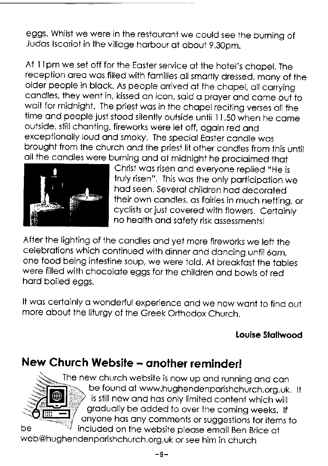eggs. whilst we were in the restouront we could see the burning of Judos lscoriot in the villoge horbour of obout g.3Opm.

At 1 1pm we set off for the Eoster service of the hotel's chopel. The reception area was filled with families all smartly dressed, many of the older people in black. As people arrived at the chapel, all carrying condles, they went in, kissed on icon. soid o proyer ond come out to woit for midnight. The priest wos in the chopel reciting verses oll the time and people just stood silently outside until 11.50 when he came outside, still chanting, fireworks were let off, gaain red and exceptionolly loud ond smoky. The speciol Eoster condle wos brought from the church ond the priest lit other condles from this unfil all the candles were burning and at midnight he proclaimed that



Christ was risen and everyone replied "He is fruly risen". This wos the only porticipotion we hod seen. Severol children hod decoroted their own condles, os foiries in much netting, or cyclists or just covered with flowers. Certoinly no heolth ond sofety risk ossessmenis!

After the lighting of ihe condles ond yet more fireworks we lefi the celebrations which continued with dinner and dancing until 6am, one food being intestine soup, we were told. At breakfast the tables were filled with chocolote eggs for the children ond bowls of red hord boiled eggs.

It was certainly a wonderful experience and we now want to find out more obout the liturgy of the Greek Orihodox Church.

#### Louise Stallwood

# New Church Website - another reminder!



The new church website is now up and running and can be found at www.hughendenparishchurch.org.uk. It is still new and has only limited content which will gradually be added to over the coming weeks. If anyone has any comments or suggestions for items to be **the set of included on the website please email Ben Brice at** 

web@hughendenporishchurch.org.uk or see him in church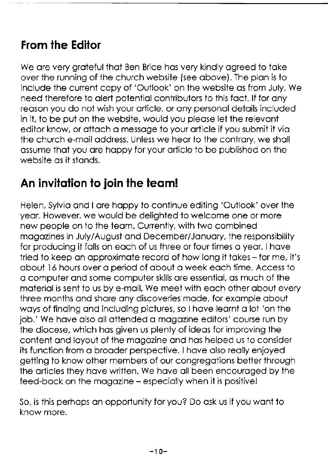# From the Edifor

We are very grateful that Ben Brice has very kindly agreed to take over the running of the church website (see obove). The plon is to include the current copy of 'Outlook' on the website os from July. We need therefore to olert potentiol contributors to this foct. lf for ony reason you do not wish your article, or any personal details included in it, to be put on the website, would you please let the relevant editor know, or attach a message to your article if you submit it via the church e-mail address. Unless we hear to the contrary, we shall ossume thot you ore hoppy for your orticle to be published on the website os it stonds.

# An invitation to join the team!

Helen, Sylvio ond I ore hoppy io coniinue editing 'Outlook' over the yeor. However, we would be delighted to welcome one or more new people on to the team. Currently, with two combined mogozines in July/Augusi ond December/Jonuory, the responsibility for producing it falls on each of us three or four times a year. I have tried to keep an approximate record of how long it takes - for me, it's obout l6 hours over o oeriod of obout o week eoch time. Access to o computer qnd some computer skills ore essentiol, os much of the moteriolis sent to us by e-moil. We meet with eoch other obout every three months and share any discoveries made, for example about ways of finding and including pictures, so I have learnt a lot 'on the job.' We have also all attended a magazine editors' course run by ihe diocese, which hos given us plenty of ideos for improving the content ond loyout of the mogozine ond hos helped us to consider its function from o brooder perspective. I hove olso reolly enjoyed getting io know other members of our congregotions better through the oriicles they hove written. We hove oll been encouroged by the feed-back on the magazine - especially when it is positive!

So, is this perhops on opportunity for you? Do osk us if you woni to know more.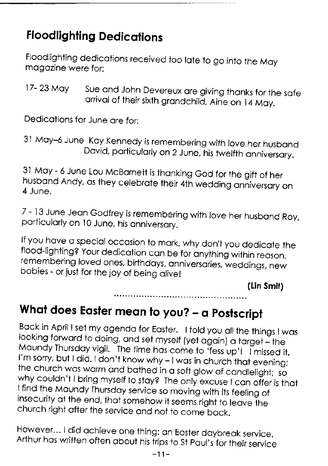# **Floodlighting Dedications**

Floodlighting dedications received too late to go into the May magazine were for:

17- 23 May Sue and John Devereux are giving thanks for the safe or the soft or the soft of their sixth grandchild, Aine on 14 May.

Dedications for June are for:

31 May - 6 June Lou McBarnett is thanking God for the gift of her<br>husband Andy, as they celebrate their 4th wedding anniversary on<br>4 June.

7 - 13 June Jean Godfrey is remembering with love her husband Roy, porticularly on 10 June, his anniversory.

If you have a special occasion to mark, why don't you dedicate the flood-lighting? Your dedication can be for anything within reason, remembering loved ones, birthdays, anniversaries, weddings, new babies - or just for the

(Lin Smil)

# What does Easter mean to you? - a Postscript

Back in April I set my agenda for Easter. I told you all the things I was looking forward to doing, and set myself (yet again) a target – the Maundy Thursday vigil. The time has come to 'fess up'! I missed it. I'm sorry, b

However... I did achieve one thing: an Easter daybreak service.<br>Arthur has written often about his trips to St Paul's for their service

<sup>31</sup> May-6 June Kay Kennedy is remembering with love her husband David, particularly on 2 June, his twelfth anniversary.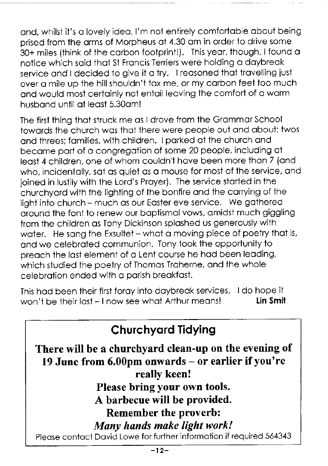ond, whilst it's o lovely ideo, I'm not entirely comfortoble obout being prised from the orms of Morpheus of 4.30 om in order to drive some 30+ miles (think of the corbon footprint!). This yeor, though, I found o notice which soid thot St Froncis Terriers were holding o doybreok service and I decided to give it a try. I reasoned that travelling just over o mile up the hill shouldn't tox me, or my corbon feet too much ond would most certoinly not entoil leoving the comfort of o worm husbond until of leost 5.3Oom!

The first thing that struck me as I drove from the Grammar School towords the church wos thot there were people out ond obout: twos ond threes;fomilies, with children. Iporked of the church ond become porl of o congregotion of some 20 people, including ot least 4 children, one of whom couldn't have been more than 7 (and who, incidentally, sat as quiet as a mouse for most of the service, and joined in lustily with ihe Lord's Proyer). The service siorted in the churchyord with the lighting of the bonfire ond the corrying of the light into church - much os our Eoster eve service. We gothered around the font to renew our baptismal vows, amidst much giggling from the children os Tony Dickinson sploshed us generously with water. He sang the Exsultet - what a moving piece of poetry that is, ond we celebroted communion. Tony took the opportunity to preach the last element of a Lent course he had been leading. which studied the poetry of Thomas Traherne, and the whole celebrotion ended with o porish breokfost.

This had been their first foray into daybreak services. I do hope it<br>won't be their last - Lnow see what Arthur meansl won't be their last - I now see what Arthur means!

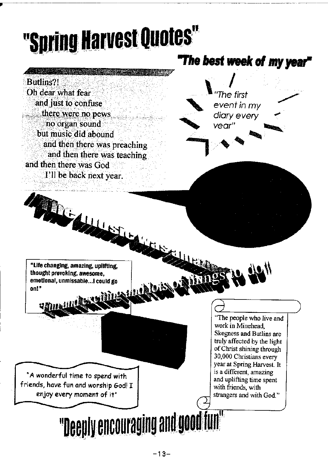# "Spring Harvest Quotes"

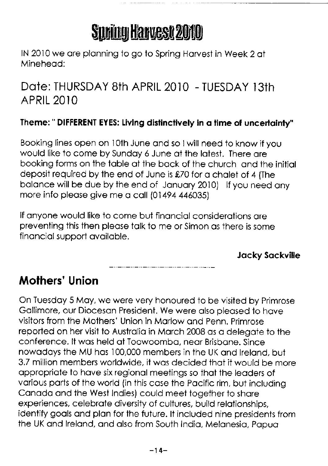# Spring Harvest 2010

lN 2010 we ore plonning to go to Spring Horvest in Week 2 oi Mineheod:

Dote: THURSDAY 8th APRIL 20]0 - TUESDAY l3ih **APRIL 2010** 

#### Theme: " DIFFERENT EYES: Living disfinctively in o time of uncertointy"

Booking lines open on lOth June ond so I will need to know if you would like to come by Sundoy 6 June of the lotest. There ore booking forms on the table at the back of the church and the initial deposit required by the end of June is \$20 for o cholet of 4 {The balance will be due by the end of January 2010) If you need any more info please give me a call (01494 446035)

lf onyone would like to come but finonciol considerotions ore preventing this then pleose tolk to me or Simon os there is some finonciol support ovoiloble.

Jocky Sockville

# Mothers' Union

On Tuesdoy 5 Moy, we were very honoured to be visited by Primrose Gollimore, our Dioceson President. We were olso pleosed lo hove visitors from the Mothers' Union in Morlow ond Penn. Primrose reported on her visit to Austrolio in Morch 2008 os o delegote to the conference. lt wos held of Toowoombo, neor Brisbone. Since nowodoys the MU hos 100,000 members in the UK ond lrelond, but 3.2 million members worldwide, it wos decided thot it would be more appropriate to have six regional meetings so that the leaders of vorious ports of the world (in this cose the Pocific rim, but including Conodo ond the West Indies) could meet together to shore experiences, celebrate diversity of cultures, build relationships. identify gools ond plon for the future. lt included nine presidents from the UK and Ireland, and also from South India, Melanesia, Papua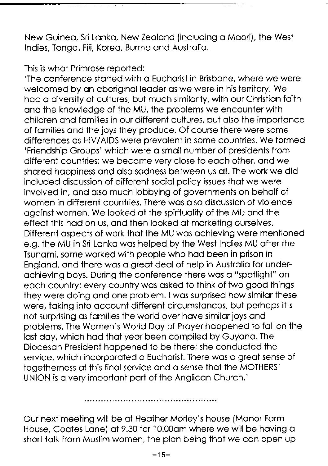New Guinea, Sri Lanka, New Zealand (including a Maori), the West Indies, Tongo, Fiji, Koreo, Burmo ond Austrolio.

This is what Primrose reported:<br>'The conference started with a Eucharist in Brisbane, where we were welcomed by an aboriginal leader as we were in his territory! We hod o diversity of cultures, but much similority, with our Christion foith ond the knowledge of the MU, the problems we encounter with children ond fomilies in our different cultures, but olso the importonce of fomilies ond the joys they produce. Of course there were some differences os HIV/AIDS were prevolent in some countries. We formed 'Friendship Groups' which were o smoll number of presidents from different countries;we become very close to eoch other, ond we shored hoppiness ond olso sodness between us oll. The work we did included discussion of different sociol policy issues thot we were involved in, ond olso much lobbying of governmenis on beholf of women in different countries. There wos olso discussion of violence ogainst women. We looked at the spirituality of the MU and the effect this hod on us, ond then looked of morketing ourselves. Different ospects of work ihot the MU wos ochieving were mentioned e.g. the MU in Sri Lonko wos helped by the West Indies MU ofter the Tsunomi, some worked with people who hod been in prison in Englond, ond there wos o greot deol of help in Austrolio for underochieving boys. During ihe conference there wos o "spotlight" on eoch country: every country wos osked io think of two good things they were doing and one problem. I was surprised how similar these were, taking into account different circumstances, but perhaps it's not surprising os fomilies the world over hove similor joys ond problems. The Women's World Doy of Proyer hoppened to foll on the lost doy, which hod thot yeor been compiled by Guyono. The Dioceson President hoppened to be ihere; she conducted the service, which incorporated a Eucharist. There was a great sense of togetherness at this final service and a sense that the MOTHERS' UNION is o very importont port of the Anglicon Church.'

Our next meeting will be of Heother Morley's house (Monor Form House, Coates Lane) at 9.30 for 10.00am where we will be having a short talk from Muslim women, the plan being that we can open up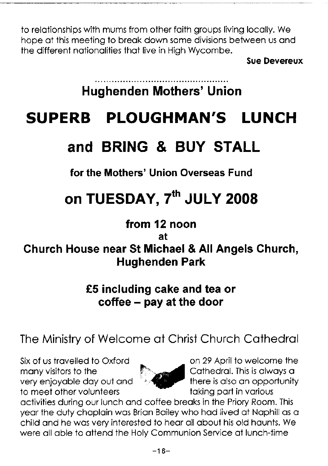to relationships with mums from other faith groups living locally. We hope at this meeting to break down some divisions between us and the different nationalities that live in Hiah Wycombe.

**Sue Devereux** 

# **Hughenden Mothers' Union**

#### **PLOUGHMAN'S SUPERB I UNCH**

# and BRING & BUY STALL

for the Mothers' Union Overseas Fund

# on TUESDAY, 7th JULY 2008

# from 12 noon

at

# Church House near St Michael & All Angels Church, **Hughenden Park**

# £5 including cake and tea or coffee – pay at the door

The Ministry of Welcome at Christ Church Cathedral

Six of us travelled to Oxford many visitors to the very enjoyable day out and to meet other volunteers



on 29 April to welcome the Cathedral. This is always a there is also an opportunity taking part in various

activities during our lunch and coffee breaks in the Priory Room. This year the duty chaplain was Brian Bailey who had lived at Naphill as a child and he was very interested to hear all about his old haunts. We were all able to attend the Holy Communion Service at lunch-time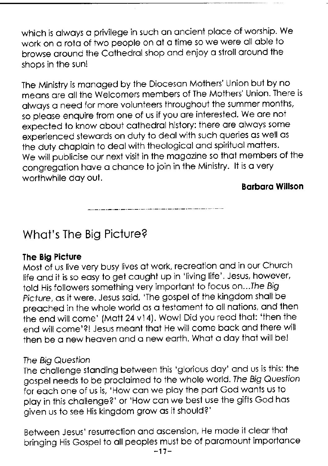which is always a privilege in such an ancient place of worship. We work on a rota of two people on at a time so we were all able to browse around the Cathedral shop and enjoy a stroll around the shops in the sun!

The Ministry is monoged by the Dioceson Mofhers' Union but by no meons ore oll the Welcomers members of The Mothers' Union. There is olwoys o need for more volunteers throughout the summer months, so pleose enquire from one of us if you ore interested. We ore not expected to know obout cothedrol history: there ore olwoys some experienced stewards on duty to deal with such queries as well as the duty chaplain to deal with theological and spiritual matters. We will publicise our next visit in the mogozine so thot members of the congregotion hove o chonce to join in the Ministry. lt is o very worthwhile day out.

**Barbara Willson** 

# Whot's The Big Picture?

#### Ihe Big Picture

Most of us live very busy lives of work, recreotion ond in our Church life and it is so easy to get caught up in 'living life'. Jesus, however, told His followers something very important to focus on...The Big picture, os it were. Jesus soid, 'The gospel of the kingdom sholl be preached in the whole world as a testament to all nations, and then the end will come' (Matt 24 v14). Wow! Did you read that: 'then the end will come'?! Jesus meant that He will come back and there will then be a new heaven and a new earth. What a day that will be!

#### Ihe Big Question

The chollenge stonding between this 'glorious doy' ond us is this: the gospel needs to be procloimed to the whole world.Ihe Big Quesfion for eoch one of us is, 'How con we ploy the port God wonts us to play in this challenge?' or 'How can we best use the gifts God has given us to see His kingdom grow os it should?'

Between Jesus' resurrection ond oscension, He mode it cleor thot bringing His Gospel to all peoples must be of paramount importance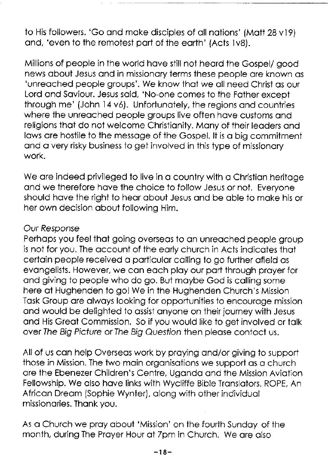to His followers. 'Go and make disciples of all nations' (Matt 28 v19) ond, 'even to the remotest port of the eorth' (Acts 1v8).

Millions of people in the world hove still not heord the Gospel/ good news obout Jesus ond in missionory terms these people ore known os 'unreoched people groups'. We know thot we oll need Christ os our Lord and Saviour. Jesus said, 'No-one comes to the Father except through me' (John 14v6). Unfortunotely, the regions ond countries where the unreached people groups live often have customs and religions that do not welcome Christianity. Many of their leaders and lows ore hostile to ihe messoge of the Gospel. lt is o big commitment and a very risky business to get involved in this type of missionary work.

We are indeed privileged to live in a country with a Christian heritage ond we therefore hove the choice to follow Jesus or not. Everyone should have the right to hear about Jesus and be able to make his or her own decision obout following Him.

#### Our Response

Perhaps you feel that going overseas to an unreached people group is not for you. The account of the early church in Acts indicates that certoin people received o porticulor colling to go further ofield os evongelists. However, we con eoch ploy our pori through proyer for ond giving to people who do go. But moybe God is colling some here of Hughenden to gol We in ihe Hughenden Church's Mission Tosk Group ore olwoys looking for opportunities to encouroge mission ond would be delighted to ossist onyone on their journey with Jesus ond His Greot Commission. So if you would like to get involved or tolk over The Big Picture or The Big Question then please contact us.

All of us can help Overseas work by praying and/or giving to support those in Mission. The two moin orgonisotions we support os o church ore the Ebenezer Children's Centre, Ugondo ond the Mission Aviotion Fellowship. We olso hove links with Wycliffe Bible Tronslotors, ROPE, An Africon Dreom {Sophie Wynter), olong with other individuol missionories. Thonk you.

As o Church we proy obout 'Mission' on the fourth Sundoy of ihe month, during The Proyer Hour of 7pm in Church. We ore olso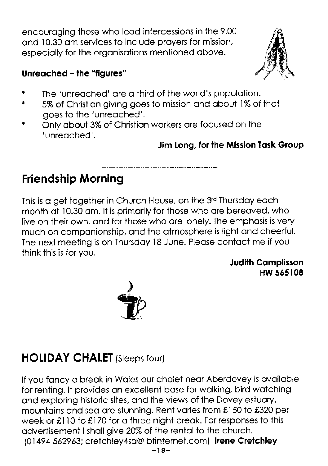encouroging those who leod intercessions in the 9.00 ond 10.30 om services to include proyers for mission, especiolly for the orgonisotions mentioned obove.



#### Unreoched - the "figures"

- $\ast$ The 'unreoched' ore o third of the world's populotion.
- 5% of Christion giving goes io mission ond obout l% of thot  $\ast$ goes to the 'unreoched'.
- Only about 3% of Christian workers are focused on the  $\ast$ 'unreoched'.

#### Jim Long, for the Mission Task Group

# Friendship Morning

This is a get together in Church House, on the  $3<sup>rd</sup>$  Thursday each mis is a gerrogenici in choich hosse, on the or missaay each month at 10.30 am. It is primarily for those who are bereaved, who live on their own, ond for those who ore lonely. The emphosis is very much on componionship, ond the otmosphere is light ond cheerful. The next meeting is on Thursday 18 June. Please contact me if you think this is for you.

Judith Complisson HW 565108



# **HOLIDAY CHALET** (Sleeps four)

lf you foncy o breok in Woles our cholet neor Aberdovey is ovoiloble for renting. lt provides on excellent bose for wolking, bird wotching ond exploring hisioric sites, ond the views of the Dovey estuory, mountains and sea are stunning. Rent varies from £150 to £320 per week or £110 to £170 for a three night break. For responses to this odvertisemeni I sholl give 20% of the rentol io ihe church. (01494 562963; cretchley4sa@ btinternet.com) Irene Cretchley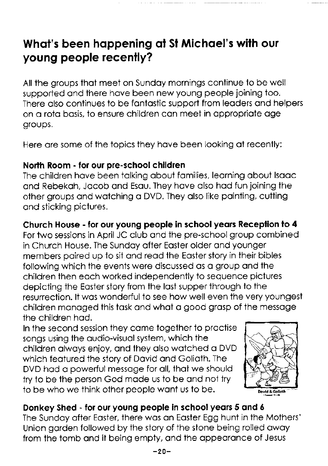# What's been happening at St Michael's with our young people recenfly?

All the groups thot meet on Sundoy mornings continue to be well supported ond there hove been new young people joining too. There also continues to be fantastic support from leaders and helpers on a rota basis, to ensure children can meet in appropriate age groups.

Here are some of the topics they have been looking at recently:

#### North Room - for our pre-school children

The children have been talking about families, learning about Isaac ond Rebekoh, Jocob ond Esou. They hove olso hod fun joining the other groups ond woiching o DVD. They olso like pointing, cutting ond sticking pictures.

#### Church House - for our young people in schoolyeors Receplion lo 4

For two sessions in April JC club ond the pre-school group combined in Church House. The Sundoy ofter Eosier older ond younger members poired up to sit ond reod the Eoster story in their bibles following which the events were discussed os o group ond the children then eoch worked independently to sequence pictures depicting the Eoster story from the lost supper through to the resurrection. lt wos wonderful to see how well even ihe very youngest children monoged this tosk ond whot o good grosp of the messoge the children hod.

In the second session they come together to proctise songs using the audio-visual system, which the children olwoys enjoy, ond they olso woiched o DVD which feotured the story of Dovid ond Golioth. The DVD had a powerful message for all, that we should try to be the person God made us to be and not try to be who we think other people wont us to be.



#### Donkey Shed - for our young people in school years 5 and 6

The Sundoy ofter Eoster, there wos on Eosier Egg hunt in the Mothers' Union garden followed by the story of the stone being rolled away from ihe tomb ond it being empty, ond the oppeoronce of Jesus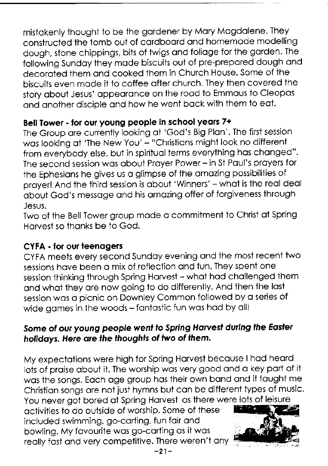mistokenly thought to be the gordener by Mory Mogdolene. They constructed the tomb out of cordboord ond homemode modelling dough, stone chippings, bits of twigs ond folioge for the gorden. The following Sunday they made biscuits out of pre-prepared dough and decoroted them ond cooked them in Church House. Some of the biscuits even mode it to coffee ofter church. They then covered the story about Jesus' appearance on the road to Emmaus to Cleopas and another disciple and how he went back with them to eat.

#### Bell Tower - for our young people in school years 7+

The Group ore currently looking of 'God's Big Plon'. The first session was looking at 'The New You' - "Christians might look no different from everybody else, but in spiritual terms everything has changed". The second session was about Prayer Power - in St Paul's prayers for the Ephesians he gives us a glimpse of the amazina possibilities of prayer! And the third session is about 'Winners' - what is the real deal obout God's messoge ond his omozing offer of forgiveness through Jesus.

Two of the Bell Tower group mode o commitment to Christ of Spring Horvest so thonks be to God.

#### CYFA - for our teenagers

CYFA meets every second Sundoy evening ond the most recent two sessions have been a mix of reflection and fun. They spent one session thinking through Spring Harvest - what had challenged them ond whot they ore now going io do differently. And ihen the losf session was a picnic on Downley Common followed by a series of wide games in the woods - fantastic fun was had by all!

#### Some of our young people went to Spring Harvest during the Easter holidays. Here are the thoughts of two of them.

My expectations were high for Spring Harvest because I had heard lots of praise about it. The worship was very good and a key part of it wos ihe songs. Eoch oge group hos their own bond ond it tought me Christian songs are not just hymns but can be different types of music. You never got bored at Spring Harvest as there were lots of leisure

octivities to do outside of worship. Some of these included swimming, go-corting, fun foir ond bowling. My fovourite wos go-coriing os it wos reolly fost ond very competitive. There weren't ony

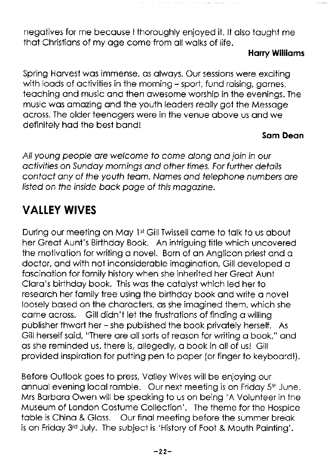negotives for me becouse I thoroughly enjoyed it. lt olso tought me that Christians of my age come from all walks of life.

#### Horry Willioms

Spring Harvest was immense, as always. Our sessions were exciting with loads of activities in the morning - sport, fund raising, games, teoching ond music ond ihen owesome worship in the evenings. The music wos omozing ond the youth leoders reolly got the Messoge ocross. The older teenogers were in the venue obove us ond we definitely hod the best bond!

#### Som Deon

All young people are welcome to come along and join in our activities on Sunday mornings and other times. For further details contact any of the youth team. Names and telephone numbers are /isted on the inside bock poge of fhis mogozine.

# **VALLEY WIVES**

During our meeting on May 1<sup>st</sup> Gill Twissell came to talk to us about her Greot Aunt's Birihdoy Book. An intriguing title which uncovered the motivotion for writing o novel. Born of on Anglicon priest ond o doctor, ond with not inconsideroble imoginotion, Gill developed o foscinotion for fomily history when she inherited her Greot Aunt Cloro's birthdoy book. This wos the cotolyst which led her io reseorch her fomily iree using the birthdoy book ond write o novel loosely bosed on ihe chorocters, os she imogined them, which she come ocross. Gill didn't let the frusirotions of finding o willing publisher thwort her - she published the book privotely herself. As Gill herself said, "There are all sorts of reason for writing a book," and as she reminded us, there is, allegedly, a book in all of us! Gill provided inspirotion for pulting pen to poper (or finger to keyboordl).

Before Outlook goes to press, Volley Wives will be enjoying our annual evening local ramble. Our next meeting is on Friday 5<sup>th</sup> June. Mrs Borboro Owen will be speoking to us on being 'A Volunteer in the Museum of London Costume Collection'. The theme for the Hospice toble is Chino & Gloss. Our finol meeting before the summer breok is on Friday 3rd July. The subject is 'History of Foot & Mouth Painting'.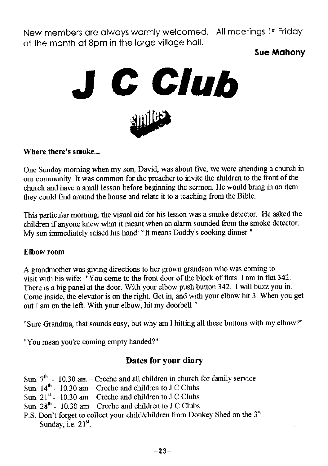New members are always warmly welcomed. All meetings 1st Friday of the month ot 8pm in the lorge villoge holl.

**Sue Mahony** 



#### Where there's smoke...

One Sunday morning when my son, David, was about five, we were attending a church in our community. It was common for the preacher to invite the children to the front of the church and have a small lesson before beginning the sermon. He would bring in an item they could find around the house and relate it to a teaching from the Bible.

This particular morning, the visual aid for his lesson was a smoke detector. He asked the children if anyone knew what it meant when an alarm sounded from the smoke detector. My son immediately raised his hand: "It means Daddy's cooking dinner."

#### Elbow room

A grandmother was giving directions to her grown grandson who was coming to visit with his wife: "You come to the front door of the block of flats. I am in flat 342. There is a big panel at the door. With your elbow push button 342. I will buzz you in. Come inside, the elevator is on the right. Get in, and with your elbow hit 3. When you get out I am on the left. With your elbow, hit my doorbell."

"Sure Grandma, that sounds easy, but why am I hitting all these buttons with my elbow?"

"You mean you're coming empty handed?"

#### Dates for your diary

- Sun.  $7<sup>th</sup>$  10.30 am Creche and all children in church for family service
- Sun.  $14<sup>th</sup> 10.30$  am Creche and children to J C Clubs
- Sun.  $21^{st}$  10.30 am Creche and children to J C Clubs
- Sun.  $28<sup>th</sup>$  10.30 am Creche and children to J C Clubs
- P.S. Don't forget to collect your child/children from Donkey Shed on the  $3^{rd}$ Sunday, i.e.  $21<sup>st</sup>$ .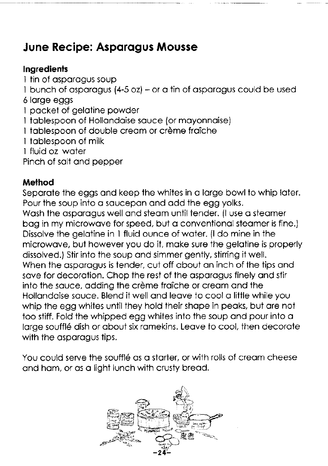# June Recipe: Asporogus Mousse

#### **Ingredients**

- 
- I tin of asparagus soup<br>I bunch of asparagus  $(4-5 \text{ oz}) -$  or a tin of asparagus could be used
- 6 lorge eggs
- I pocket of gelotine powder
- 1 tablespoon of Hollandaise sauce (or mayonnaise)
- I tablespoon of double cream or crème fraîche
- I toblespoon of milk
- I fluid oz woter
- Pinch of solt ond pepper

### Melhod

Separate the eggs and keep the whites in a large bowl to whip later. Pour the soup into a saucepan and add the egg yolks.

Wash the asparagus well and steam until tender. (I use a steamer bag in my microwave for speed, but a conventional steamer is fine.) Dissolve the gelotine in I fluid ounce of woter. (l do mine in the microwave, but however you do it, make sure the gelatine is properly dissolved.) Stir into the soup ond simmer gently, stirring it well. When the asparagus is tender, cut off about an inch of the tips and save for decoration. Chop the rest of the asparagus finely and stir into the sauce, adding the crème fraîche or cream and the Hollandaise sauce. Blend it well and leave to cool a little while you whip the egg whites until they hold their shape in peaks, but are not too stiff. Fold the whipped egg whites into the soup ond pour into o large soufflé dish or about six ramekins. Leave to cool, then decorate with the asparagus tips.

You could serve the soufflé as a starter, or with rolls of cream cheese ond hom, or os o light lunch with crusty breod.

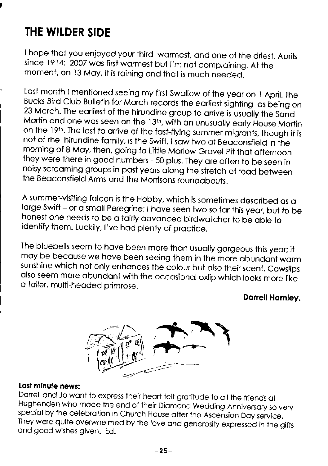# THE WILDER SIDE

I hope that you enjoyed your third warmest, and one of the driest, Aprils since 1914; 2007 was first warmest but I'm not complaining. At the moment, on 13 May, it is raining and that is much needed.

Last month I mentioned seeing my first Swallow of the year on 1 April. The Bucks Bird Club Bulletin for March records the earliest sighting as being on 23 March. The earliest of the hirundine group to arrive is usually th on the 19th. The last to arrive of the fast-flying summer migrants, though it is<br>not of the hirundine family, is the Swift. I saw two at Beaconsfield in the morning of 8 May, then, going to Little Marlow Gravel Pit that afternoon<br>they were there in good numbers - 50 plus. They are often to be seen in noisy screaming groups in past years along the stretch of road between ihe Beoconsfield Arms ond the Monisons roundobouts.

A summer-visiting folcon is the Hobby, which is sometimes described os o large Swift - or a small Peregrine; I have seen two so far this year, but to be honest one needs to be a fairly advanced birdwatcher to be able to identify them. Luckily, I've had plenty of practice.

The bluebells seem to have been more than usually gorgeous this year; it<br>may be because we have been seeing them in the more abundant warm sunshine which not only enhances the colour but also their scent. Cowslips<br>also seem more abundant with the occasional oxlip which looks more like o toller, multi-heoded primrose.

#### Darrell Hamley.



**Last minute news:**<br>Darrell and Jo want to express their heart-felt gratitude to all the friends at Hughenden who made the end of their Diamond Wedding Anniversary so very special by the celebration in Church House after the Ascension Day service.<br>They were quite overwhelmed by the love and generosity expressed in the gi ond good wishes given. Ed.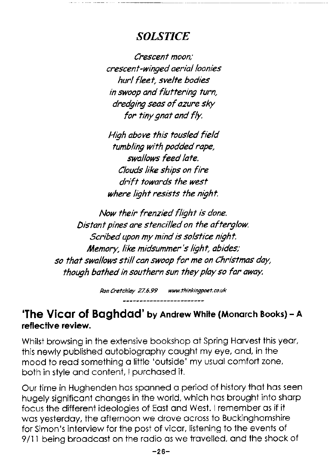### **SOLSTICE**

Crescenf moon.' crescent-winged aeria/ loonies hurl fleet, svelte bodies in swoop and flutfering turn, dredging seas of azure sky for tiny gnat and f/y.

High above this tousled field tunbling wifh podded rape, swallows feed late. Clouds like ships on fire drift towards the west where light resists the night.

Now their frenzied flight is done. Disfanf pines are sfencilled on fhe afferglow. Scribed upon my mind is solstice night. Memory, like midsummer's light, abides; so that swallows still can swoop for me on Christmas day, though bathed in southern sun they play so far away.

Ron Cretchley 27.6.99 www.thinkingpoet.co.uk

#### 'The Vicar of Baghdad' by Andrew White (Monarch Books) - A reflective review.

Whilst browsing in the extensive bookshop at Spring Harvest this year, this newly published outobiogrophy cought my eye, ond, in the mood to read something a little 'outside' my usual comfort zone, both in style and content, I purchased it.

Our time in Hughenden hos sponned o period of history thot hos seen hugely significant changes in the world, which has brought into sharp focus the different ideologies of Eost ond West. Iremember os if ii was yesterday, the afternoon we drove across to Buckinghamshire for Simon's interview for the post of vicor, lisiening to the events of 9/11 being broadcast on the radio as we travelled, and the shock of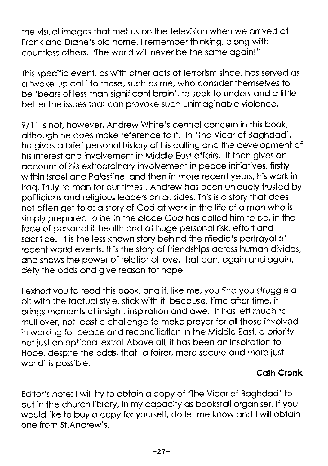the visuolimoges thot met us on the television when we orrived ot Fronk ond Dione's old home. I remember thinking, olong wiih countless others, "The world will never be the some ogoin!"

This specific event, os with other octs of terrorism since, hos served os <sup>o</sup>'woke up coll' to those, such os me, who consider themselves to be 'bears of less than significant brain', to seek to understand a little better the issues thot con provoke such unimoginoble violence.

9/11 is not, however, Andrew White's central concern in this book, olthough he does moke reference to it. In 'The Vicor of Boghdod', he gives o brief personol history of his colling ond the developmeni of his interest ond involvement in Middle Eost offoirs. lt then gives on occount of his extroordinory involvement in peoce initiotives, firstly within Israel and Palestine, and then in more recent years, his work in Iraq. Truly 'a man for our times', Andrew has been uniquely trusted by politicions ond religious leoders on ollsides. This is o story thot does not often get told: a story of God at work in the life of a man who is simply prepored to be in the ploce God hos colled him to be, in the foce of personolill-heolth ond of huge personol risk, effori ond socrifice. lt is the less known story behind the medio's portroyol of recent world events. It is the story of friendships across human divides, and shows the power of relational love, that can, again and again, defy the odds and give reason for hope.

I exhort you to read this book, and if, like me, you find you struggle a bit with the factual style, stick with it, because, time after time, it brings moments of insight, inspiroiion ond owe. lt hos left much to mull over, not leost o chollenge to moke proyer for oll those involved ln working for peoce ond reconciliotion in the Middle Eost, o priority, not jusi on optionol extrq! Above oll, it hos been on inspirotion to Hope, despite the odds, thot 'o foirer, more secure ond more just world'is possible.

#### Coth Cronk

Editor's note: I will try to obtoin o copy of 'The Vicor of Boghdod' to put in the church librory, in my copocity os bookstoll orgoniser. lf you would like to buy o copy for yourself, do let me know ond I will obtoin one from St.Andrew's.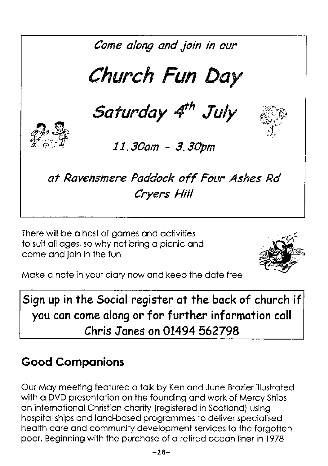

There will be a host of aames and activities to suit all ages, so why not bring a picnic and come and join in the fun



Make a note in your diary now and keep the date free

Sign up in the Social register at the back of church if you can come along or for further information call Chris Janes on 01494 562798

# **Good Companions**

Our May meeting featured a talk by Ken and June Brazier illustrated with a DVD presentation on the founding and work of Mercy Ships, an international Christian charity (reaistered in Scotland) using hospital ships and land-based programmes to deliver specialised health care and community development services to the forgotten poor. Beginning with the purchase of a retired ocean liner in 1978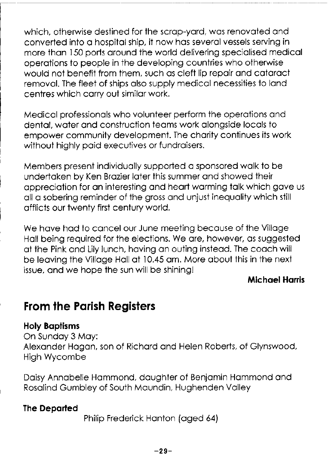which, otherwise destined for the scrap-yard, was renovated and converted into a hospital ship, it now has several vessels servina in more than 150 ports around the world delivering specialised medical operations to people in the developing countries who otherwise would not benefit from them, such as cleft lip repair and cataract removal. The fleet of ships also supply medical necessities to land centres which carry out similar work.

Medical professionals who volunteer perform the operations and dental, water and construction teams work alongside locals to empower community development. The charity continues its work without highly paid executives or fundraisers.

Members present individually supported a sponsored walk to be undertaken by Ken Brazier later this summer and showed their appreciation for an interesting and heart warming talk which gave us all a sobering reminder of the gross and unjust inequality which still afflicts our twenty first century world.

We have had to cancel our June meeting because of the Village Hall being required for the elections. We are, however, as suagested at the Pink and Lily lunch, having an outing instead. The coach will be leaving the Village Hall at 10.45 am. More about this in the next issue, and we hope the sun will be shining!

#### **Michael Harris**

## **From the Parish Registers**

#### **Holy Baptisms**

On Sunday 3 May: Alexander Hagan, son of Richard and Helen Roberts, of Glynswood, **High Wycombe** 

Daisy Annabelle Hammond, daughter of Benjamin Hammond and Rosalind Gumbley of South Maundin, Hughenden Valley

#### **The Departed**

Philip Frederick Hanton (aged 64)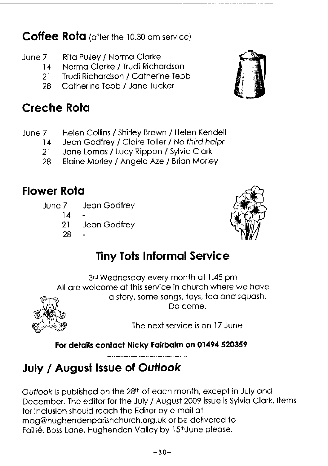Coffee Rota (after the 10.30 am service)

- June 7 Rito Pulley / Normo Clorke
	- 14 Norma Clarke / Trudi Richardson<br>21 Trudi Richardson / Catherine Teb
	- 21 Trudi Richordson / Cotherine Tebb
	- 28 Catherine Tebb / Jane Tucker

# Creche Rota

- June 7 Helen Collins / Shirley Brown / Helen Kendell<br>14 Jean Godfrey / Claire Toller / No third helpr
	- 14 Jean Godfrey / Claire Toller / No third helpr<br>21 Jane Lomas / Lucy Rippon / Sylvia Clark
		- Jane Lomas / Lucy Rippon / Sylvia Clark
	- 28 Elaine Morley / Angela Aze / Brian Morley

# **Flower Rota**

- June 7 Jeon Godfrey
	- 14
	- 21 Jeon Godfrey
	- 28



# **Tiny Tots Informal Service**

3rd Wednesday every month at 1.45 pm All are welcome at this service in church where we have o story, some songs, toys, teo ond squosh. Do come.

The next service is on l7 June

For details contact Nicky Fairbairn on 01494 520359

# July / August Issue of Outlook

Ouflook is published on the 28tn of eoch month, except in July ond December. The editor for the July / August 2009 issue is Sylvia Clark. Items for inclusion should reoch the Editor by e-moil ot mog@hughendenporishchurch.org.uk or be delivered to Failté, Boss Lane, Hughenden Valley by 15<sup>th</sup> June please.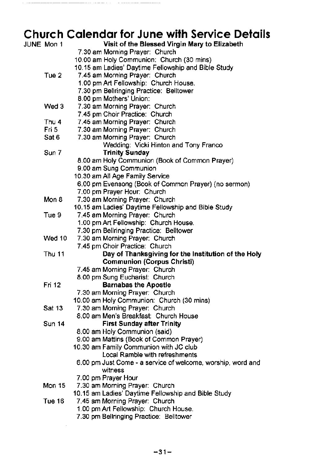#### Church Calendar for June with Service Details

 $\mathcal{L}$ 

| <b>JUNE Mon 1</b> | Visit of the Blessed Virgin Mary to Elizabeth                                                 |
|-------------------|-----------------------------------------------------------------------------------------------|
|                   | 7.30 am Morning Prayer: Church                                                                |
|                   | 10.00 am Holy Communion: Church (30 mins)                                                     |
|                   | 10.15 am Ladies' Daytime Fellowship and Bible Study                                           |
| Tue 2             | 7.45 am Morning Prayer: Church                                                                |
|                   | 1.00 pm Art Fellowship: Church House.                                                         |
|                   | 7.30 pm Bellringing Practice: Belltower                                                       |
|                   | 8.00 pm Mothers' Union:                                                                       |
| Wed 3             | 7.30 am Morning Prayer: Church                                                                |
|                   | 7.45 pm Choir Practice: Church                                                                |
| Thu 4             | 7.45 am Morning Prayer: Church                                                                |
| Fri 5             | 7.30 am Morning Prayer: Church                                                                |
| Sat 6             | 7.30 am Morning Prayer: Church                                                                |
|                   | Wedding: Vicki Hinton and Tony Franco                                                         |
| Sun 7             | <b>Trinity Sunday</b>                                                                         |
|                   | 8.00 am Holy Communion (Book of Common Prayer)                                                |
|                   | 9.00 am Sung Communion                                                                        |
|                   | 10.30 am All Age Family Service                                                               |
|                   | 6.00 pm Evensong (Book of Common Prayer) (no sermon)                                          |
|                   | 7.00 pm Prayer Hour: Church                                                                   |
| Mon 8             | 7.30 am Morning Prayer: Church                                                                |
|                   | 10.15 am Ladies' Daytime Fellowship and Bible Study                                           |
| Tue 9             | 7.45 am Morning Prayer: Church                                                                |
|                   | 1.00 pm Art Fellowship: Church House.                                                         |
|                   | 7.30 pm Bellringing Practice: Belltower                                                       |
| Wed 10            | 7.30 am Morning Prayer: Church                                                                |
|                   | 7.45 pm Choir Practice: Church                                                                |
| <b>Thu 11</b>     | Day of Thanksgiving for the Institution of the Holy                                           |
|                   | <b>Communion (Corpus Christi)</b>                                                             |
|                   | 7.45 am Morning Prayer: Church                                                                |
|                   | 8.00 pm Sung Eucharist: Church                                                                |
| Fri 12            | <b>Barnabas the Apostle</b>                                                                   |
|                   | 7.30 am Morning Prayer: Church                                                                |
|                   | 10.00 am Holy Communion: Church (30 mins)                                                     |
| Sat 13            | 7.30 am Morning Prayer: Church                                                                |
|                   | 8.00 am Men's Breakfast: Church House                                                         |
| Sun 14            | <b>First Sunday after Trinity</b>                                                             |
|                   | 8.00 am Holy Communion (said)                                                                 |
|                   | 9.00 am Mattins (Book of Common Prayer)                                                       |
|                   | 10.30 am Family Communion with JC club                                                        |
|                   | Local Ramble with refreshments<br>6.00 pm Just Come - a service of welcome, worship, word and |
|                   | witness                                                                                       |
|                   |                                                                                               |
| Mon 15            | 7.00 pm Prayer Hour<br>7.30 am Morning Prayer: Church                                         |
|                   | 10.15 am Ladies' Daytime Fellowship and Bible Study                                           |
| Tue 16            | 7.45 am Morning Prayer: Church                                                                |
|                   | 1.00 pm Art Fellowship: Church House.                                                         |
|                   |                                                                                               |

7.30 pm Bellringing Practice: Belltower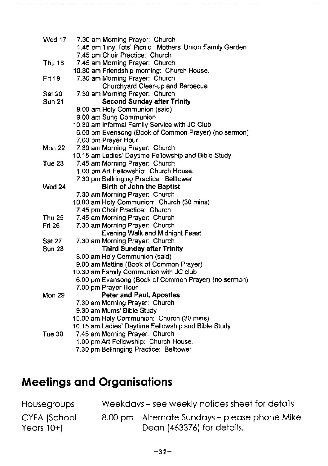| Wed 17        | 7.30 am Morning Prayer: Church                          |
|---------------|---------------------------------------------------------|
|               | 1.45 pm Tiny Tots' Picnic: Mothers' Union Family Garden |
|               | 7.45 pm Choir Practice: Church                          |
| Thu 18        | 7.45 am Morning Prayer: Church                          |
|               | 10.30 am Friendship morning: Church House.              |
| Fri 19        | 7.30 am Morning Prayer: Church                          |
|               | Churchyard Clear-up and Barbecue                        |
| <b>Sat 20</b> | 7.30 am Morning Prayer: Church                          |
| <b>Sun 21</b> | <b>Second Sunday after Trinity</b>                      |
|               | 8.00 am Holy Communion (said)                           |
|               | 9.00 am Sung Communion                                  |
|               | 10.30 am Informal Family Service with JC Club           |
|               | 6.00 pm Evensong (Book of Common Prayer) (no sermon)    |
|               | 7.00 pm Prayer Hour                                     |
| Mon 22        | 7.30 am Morning Prayer: Church                          |
|               | 10.15 am Ladies' Daytime Fellowship and Bible Study     |
| Tue 23        | 7.45 am Morning Prayer: Church                          |
|               | 1.00 pm Art Fellowship: Church House.                   |
|               | 7.30 pm Bellringing Practice: Belltower                 |
| Wed 24        | Birth of John the Baptist                               |
|               | 7.30 am Morning Prayer: Church                          |
|               | 10.00 am Holy Communion: Church (30 mins)               |
|               | 7.45 pm Choir Practice: Church                          |
| Thu 25        | 7.45 am Morning Prayer: Church                          |
| <b>Fri 26</b> | 7.30 am Morning Prayer: Church                          |
|               | Evening Walk and Midnight Feast                         |
| Sat 27        | 7.30 am Morning Prayer: Church                          |
| <b>Sun 28</b> | <b>Third Sunday after Trinity</b>                       |
|               | 8.00 am Holy Communion (said)                           |
|               | 9.00 am Mattins (Book of Common Prayer)                 |
|               | 10.30 am Family Communion with JC club                  |
|               | 6.00 pm Evensong (Book of Common Prayer) (no sermon)    |
|               | 7.00 pm Prayer Hour                                     |
| <b>Mon 29</b> | <b>Peter and Paul, Apostles</b>                         |
|               | 7.30 am Morning Prayer: Church                          |
|               | 9.30 am Mums' Bible Study                               |
|               | 10.00 am Holy Communion: Church (30 mins)               |
|               | 10.15 am Ladies' Daytime Fellowship and Bible Study     |
| Tue 30        | 7.45 am Morning Prayer: Church                          |
|               | 1.00 pm Art Fellowship: Church House.                   |
|               | 7.30 pm Bellringing Practice: Belltower                 |

<del>. . . . . . . . . . . . . . . .</del> . . . . . .

 $\frac{1}{2}$ 

# **Meetings and Organisations**

| <b>Housegroups</b>          | Weekdays – see weekly notices sheet for details |                                                                             |  |
|-----------------------------|-------------------------------------------------|-----------------------------------------------------------------------------|--|
| CYFA (School<br>Years $10+$ |                                                 | 8.00 pm Alternate Sundays - please phone Mike<br>Dean (463376) for details. |  |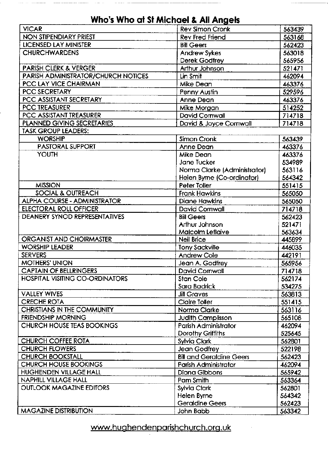|                                            | <b>AUS MU GI SI MICHAEL &amp; AIL ANGER</b> |                     |
|--------------------------------------------|---------------------------------------------|---------------------|
| <b>VICAR</b>                               | <b>Rev Simon Cronk</b>                      | 563439              |
| <b>NON STIPENDIARY PRIEST</b>              | Rev Fred Friend                             | 563168              |
| <b>LICENSED LAY MINISTER</b>               | <b>Bill Geers</b>                           | 562423              |
| <b>CHURCHWARDENS</b>                       | <b>Andrew Sykes</b>                         | 563018              |
|                                            | Derek Godfrey                               | 565956              |
| <b>PARISH CLERK &amp; VERGER</b>           | Arthur Johnson                              | $521\overline{471}$ |
| <b>PARISH ADMINISTRATOR/CHURCH NOTICES</b> | Lin Smit                                    | 462094              |
| PCC LAY VICE CHAIRMAN                      | Mike Dean                                   | 463376              |
| <b>PCC SECRETARY</b>                       | Penny Austin                                | 529596              |
| PCC ASSISTANT SECRETARY                    | Anne Dean                                   | 463376              |
| <b>PCC TREASURER</b>                       | Mike Morgan                                 | 514252              |
| PCC ASSISTANT TREASURER                    | David Cornwall                              | 714718              |
| PLANNED GIVING SECRETARIES                 | David & Joyce Cornwall                      | 714718              |
| <b>TASK GROUP LEADERS:</b>                 |                                             |                     |
| <b>WORSHIP</b>                             | Simon Cronk                                 | 563439              |
| <b>PASTORAL SUPPORT</b>                    | Anne Dean                                   | 463376              |
| <b>YOUTH</b>                               | Mike Dean                                   | 463376              |
|                                            | Jane Tucker                                 | 534989              |
|                                            | Norma Clarke (Administrator)                | 563116              |
|                                            | Helen Byrne (Co-ordinator)                  | 564342              |
| <b>MISSION</b>                             | Peter Toller                                | 551415              |
| <b>SOCIAL &amp; OUTREACH</b>               | <b>Frank Hawkins</b>                        | 565050              |
| <b>ALPHA COURSE - ADMINISTRATOR</b>        | <b>Diane Hawkins</b>                        | 565050              |
| <b>ELECTORAL ROLL OFFICER</b>              | <b>David Cornwall</b>                       | 714718              |
| DEANERY SYNOD REPRESENTATIVES              | <b>Bill Geers</b>                           | 562423              |
|                                            | Arthur Johnson                              | 521471              |
|                                            | Malcolm Leflaive                            | 563634              |
| ORGANIST AND CHOIRMASTER                   | Neil Brice                                  | 445899              |
| <b>WORSHIP LEADER</b>                      | <b>Tony Sackville</b>                       | 446035              |
| <b>SERVERS</b>                             | Andrew Cole                                 | 442191              |
| <b>MOTHERS' UNION</b>                      | Jean A. Godfrey                             | 565956              |
| <b>CAPTAIN OF BELLRINGERS</b>              | David Cornwall                              | 714718              |
| <b>HOSPITAL VISITING CO-ORDINATORS</b>     | Stan Cole                                   | 562174              |
|                                            | Sara Badrick                                | 534275              |
| <b>VALLEY WIVES</b>                        | <b>Jill Graves</b>                          | 563813              |
| <b>CRECHE ROTA</b>                         | <b>Claire Toller</b>                        | 551415              |
| <b>CHRISTIANS IN THE COMMUNITY</b>         | Norma Clarke                                | 563116              |
| FRIENDSHIP MORNING                         | <b>Judith Camplisson</b>                    | 565108              |
| CHURCH HOUSE TEAS BOOKINGS                 | Parish Administrator                        | 462094              |
|                                            | Dorothy Griffiths                           | 525645              |
| <b>CHURCH COFFEE ROTA</b>                  | Sylvia Clark                                | 562801              |
| <b>CHURCH FLOWERS</b>                      | Jean Godfrey                                | 522198              |
| <b>CHURCH BOOKSTALL</b>                    | <b>Bill and Geraldine Geers</b>             | 562423              |
| <b>CHURCH HOUSE BOOKINGS</b>               | Parish Administrator                        | 462094              |
| <b>HUGHENDEN VILLAGE HALL</b>              | <b>Diana Gibbons</b>                        | 565942              |
| <b>NAPHILL VILLAGE HALL</b>                | Pam Smith                                   | 563364              |
| <b>OUTLOOK MAGAZINE EDITORS</b>            | <b>Sylvia Clark</b>                         | 562801              |
|                                            | Helen Byrne                                 | 564342              |
|                                            | <b>Geraldine Geers</b>                      | 562423              |
| <b>MAGAZINE DISTRIBUTION</b>               | John Babb                                   | 563342              |

#### Who's Who at St Michael & All Angels

 $\sim$ 

 $\label{eq:1} \begin{array}{lllllllllllllllll} \hline \textbf{1} & \textbf{1} & \textbf{1} & \textbf{1} & \textbf{1} & \textbf{1} & \textbf{1} & \textbf{1} & \textbf{1} & \textbf{1} & \textbf{1} & \textbf{1} & \textbf{1} & \textbf{1} & \textbf{1} & \textbf{1} & \textbf{1} & \textbf{1} & \textbf{1} & \textbf{1} & \textbf{1} & \textbf{1} & \textbf{1} & \textbf{1} & \textbf{1} & \textbf{1} & \textbf{1} & \textbf{1}$ 

\_\_\_\_\_\_\_\_\_\_

 $\sim 1000$  . The  $\sim 1000$ 

 $\sim$  -mass construction

#### www.hughendenparishchurch.org.uk